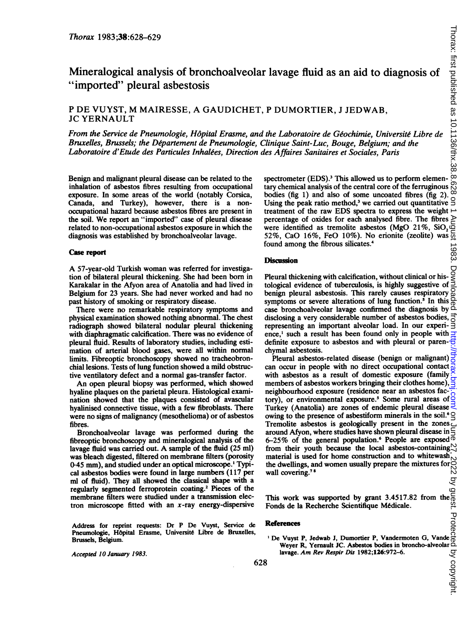# Mineralogical analysis of bronchoalveolar lavage fluid as an aid to diagnosis of "imported" pleural asbestosis

## <sup>P</sup> DE VUYST, M MAIRESSE, A GAUDICHET, <sup>P</sup> DUMORTIER, <sup>J</sup> JEDWAB, JC YERNAULT

From the Service de Pneumologie, H6pital Erasme, and the Laboratoire de Geochimie, Universite Libre de Bruxelles, Brussels; the Département de Pneumologie, Clinique Saint-Luc, Bouge, Belgium; and the Laboratoire d'Etude des Particules Inhalees, Direction des Affaires Sanitaires et Sociales, Paris

Benign and malignant pleural disease can be related to the inhalation of asbestos fibres resulting from occupational exposure. In some areas of the world (notably Corsica, Canada, and Turkey), however, there is a nonoccupational hazard because asbestos fibres are present in the soil. We report an "imported" case of pleural disease related to non-occupational asbestos exposure in which the diagnosis was established by bronchoalveolar lavage.

#### Case report

A 57-year-old Turkish woman was referred for investigation of bilateral pleural thickening. She had been born in Karakalar in the Afyon area of Anatolia and had lived in Belgium for 23 years. She had never worked and had no past history of smoking or respiratory disease.

There were no remarkable respiratory symptoms and physical examination showed nothing abnormal. The chest radiograph showed bilateral nodular pleural thickening with diaphragmatic calcification. There was no evidence of pleural fluid. Results of laboratory studies, including estimation of arterial blood gases, were all within normal limits. Fibreoptic bronchoscopy showed no tracheobronchial lesions. Tests of lung function showed a mild obstructive ventilatory defect and a normal gas-transfer factor.

An open pleural biopsy was performed, which showed hyaline plaques on the parietal pleura. Histological examination showed that the plaques consisted of avascular hyalinised connective tissue, with a few fibroblasts. There were no signs of malignancy (mesothelioma) or of asbestos fibres.

Bronchoalveolar lavage was performed during the fibreoptic bronchoscopy and mineralogical analysis of the lavage fluid was carried out. A sample of the fluid (25 ml) was bleach digested, filtered on membrane filters (porosity 0\*45 mm), and studied under an optical microscope.' Typical asbestos bodies were found in large numbers (117 per ml of fluid). They all showed the classical shape with a regularly segmented ferroprotein coating.2 Pieces of the membrane filters were studied under a transmission electron microscope fitted with an  $x$ -ray energy-dispersive

Address for reprint requests: Dr P De Vuyst, Service de Pneumologie, Hôpital Erasme, Université Libre de Bruxelles, Brussels, Belgium.

Accepted lO January 1983.

spectrometer (EDS).<sup>3</sup> This allowed us to perform elementary chemical analysis of the central core of the ferruginous  $\bigotimes_{h=1}^{\infty}$  bodies (for 1) and also of some upcosted fibres (for 2) bodies (fig 1) and also of some uncoated fibres (fig 2). Using the peak ratio method, $3$  we carried out quantitative treatment of the raw EDS spectra to express the weight  $\rightarrow$ percentage of oxides for each analysed fibre. The fibres were identified as tremolite asbestos (MgO 21%,  $SiO<sub>2</sub>$ 52%, CaO 16%, FeO 10%). No erionite (zeolite) was found among the fibrous silicates.4

### **Discussion**

Pleural thickening with calcification, without clinical or his-Pleural thickening with calcification, without clinical or his- $\geq$  tological evidence of tuberculosis, is highly suggestive of  $\geq$ benign pleural asbestosis. This rarely causes respiratory symptoms or severe alterations of lung function.<sup>5</sup> In this case bronchoalveolar lavage confirmed the diagnosis by disclosing a very considerable number of asbestos bodies, representing an important alveolar load. In our experience,' such a result has been found only in people with definite exposure to asbestos and with pleural or parenchymal asbestosis.

Pleural asbestos-related disease (benign or malignant)  $\frac{1}{6}$ can occur in people with no direct occupational contact  $\frac{1}{10}$ with asbestos as a result of domestic exposure (family  $\times$ members of asbestos workers bringing their clothes home), neighbourhood exposure (residence near an asbestos factory), or environmental exposure.<sup>5</sup> Some rural areas of Turkey (Anatolia) are zones of endemic pleural disease owing to the presence of asbestiform minerals in the soil.<sup>6</sup>  $\subseteq$ Tremolite asbestos is geologically present in the zones around Afyon, where studies have shown pleural disease in  $\leq$ 6-25% of the general population.<sup>6</sup> People are exposed  $\overline{0}$ from their youth because the local asbestos-containing  $\frac{1}{2}$ material is used for home construction and to whitewash  $\sim$ the dwellings, and women usually prepare the mixtures for wall covering.<sup>78</sup>

This work was supported by grant 3.4517.82 from the Fonds de la Recherche Scientifique M6dicale.

#### References

' De Vuyst P, Jedwab J, Dumortier P, Vandermoten G, Vande<br>Weyer R, Yernault JC. Asbestos bodies in broncho-alveolar<br>lavage. Am Rev Respir Dis 1982;126:972-6.